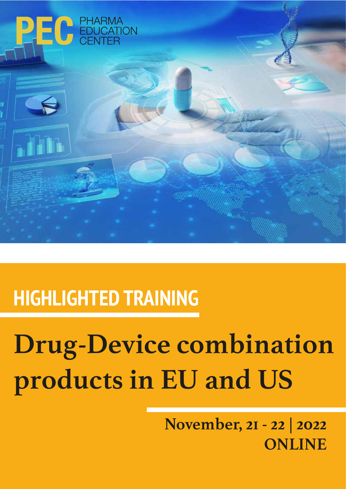

# **HIGHLIGHTED TRAINING**

# **Drug-Device combination products in EU and US**

**November, 21 - 22 | 2022 ONLINE**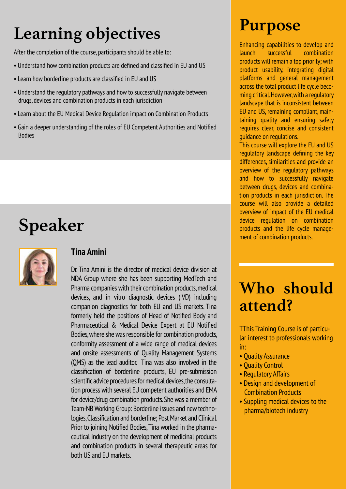## **Learning objectives**

After the completion of the course, participants should be able to:

- Understand how combination products are defined and classified in EU and US
- Learn how borderline products are classified in EU and US
- Understand the regulatory pathways and how to successfully navigate between drugs, devices and combination products in each jurisdiction
- Learn about the EU Medical Device Regulation impact on Combination Products
- Gain a deeper understanding of the roles of EU Competent Authorities and Notified Bodies

### **Speaker**



#### **Tina Amini**

Dr. Tina Amini is the director of medical device division at NDA Group where she has been supporting MedTech and Pharma companies with their combination products, medical devices, and in vitro diagnostic devices (IVD) including companion diagnostics for both EU and US markets. Tina formerly held the positions of Head of Notified Body and Pharmaceutical & Medical Device Expert at EU Notified Bodies, where she was responsible for combination products, conformity assessment of a wide range of medical devices and onsite assessments of Quality Management Systems (QMS) as the lead auditor. Tina was also involved in the classification of borderline products, EU pre-submission scientific advice procedures for medical devices, the consultation process with several EU competent authorities and EMA for device/drug combination products. She was a member of Team-NB Working Group: Borderline issues and new technologies, Classification and borderline; Post Market and Clinical. Prior to joining Notified Bodies, Tina worked in the pharmaceutical industry on the development of medicinal products and combination products in several therapeutic areas for both US and EU markets.

### **Purpose**

Enhancing capabilities to develop and launch successful combination products will remain a top priority; with product usability, integrating digital platforms and general management across the total product life cycle becoming critical. However, with a regulatory landscape that is inconsistent between EU and US, remaining compliant, maintaining quality and ensuring safety requires clear, concise and consistent guidance on regulations.

This course will explore the EU and US regulatory landscape defining the key differences, similarities and provide an overview of the regulatory pathways and how to successfully navigate between drugs, devices and combination products in each jurisdiction. The course will also provide a detailed overview of impact of the EU medical device regulation on combination products and the life cycle management of combination products.

### **Who should attend?**

TThis Training Course is of particular interest to professionals working in:

- Quality Assurance
- Quality Control
- Regulatory Affairs
- Design and development of Combination Products
- Suppling medical devices to the pharma/biotech industry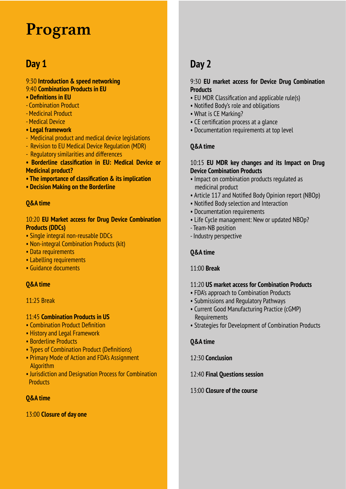### **Program**

### **Day 1**

#### 9:30 **Introduction & speed networking** 9:40 **Combination Products in EU**

- **Definitions in EU**
- Combination Product
- Medicinal Product
- Medical Device
- **Legal framework**
- Medicinal product and medical device legislations
- Revision to EU Medical Device Regulation (MDR)
- Regulatory similarities and differences
- **Borderline classification in EU: Medical Device or Medicinal product?**
- **The importance of classification & its implication**
- **Decision Making on the Borderline**

#### **Q&A time**

#### 10:20 **EU Market access for Drug Device Combination Products (DDCs)**

- Single integral non-reusable DDCs
- Non-integral Combination Products (kit)
- Data requirements
- Labelling requirements
- Guidance documents

#### **Q&A time**

#### 11:25 Break

#### 11:45 **Combination Products in US**

- Combination Product Definition
- History and Legal Framework
- Borderline Products
- Types of Combination Product (Definitions)
- Primary Mode of Action and FDA's Assignment **Algorithm**
- Jurisdiction and Designation Process for Combination **Products**

#### **Q&A time**

#### 13:00 **Closure of day one**

### **Day 2**

#### 9:30 **EU market access for Device Drug Combination Products**

- EU MDR Classification and applicable rule(s)
- Notified Body's role and obligations
- What is CE Marking?
- CE certification process at a glance
- Documentation requirements at top level

#### **Q&A time**

#### 10:15 **EU MDR key changes and its Impact on Drug Device Combination Products**

- Impact on combination products regulated as medicinal product
- Article 117 and Notified Body Opinion report (NBOp)
- Notified Body selection and Interaction
- Documentation requirements
- Life Cycle management: New or updated NBOp?
- Team-NB position
- Industry perspective

#### **Q&A time**

#### 11:00 **Break**

#### 11:20 **US market access for Combination Products**

- FDA's approach to Combination Products
- Submissions and Regulatory Pathways
- Current Good Manufacturing Practice (cGMP) Requirements
- Strategies for Development of Combination Products

#### **Q&A time**

#### 12:30 **Conclusion**

#### 12:40 **Final Questions session**

#### 13:00 **Closure of the course**